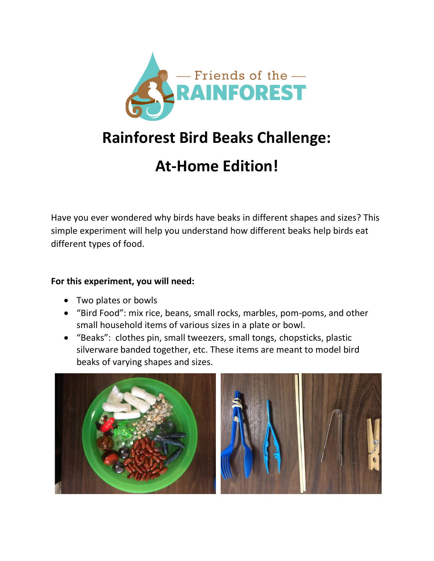

# **Rainforest Bird Beaks Challenge:**

# **At-Home Edition!**

Have you ever wondered why birds have beaks in different shapes and sizes? This simple experiment will help you understand how different beaks help birds eat different types of food.

#### **For this experiment, you will need:**

- Two plates or bowls
- "Bird Food": mix rice, beans, small rocks, marbles, pom-poms, and other small household items of various sizes in a plate or bowl.
- "Beaks": clothes pin, small tweezers, small tongs, chopsticks, plastic silverware banded together, etc. These items are meant to model bird beaks of varying shapes and sizes.

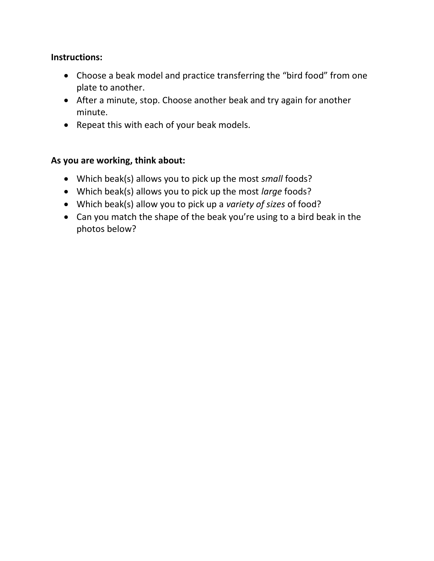#### **Instructions:**

- Choose a beak model and practice transferring the "bird food" from one plate to another.
- After a minute, stop. Choose another beak and try again for another minute.
- Repeat this with each of your beak models.

#### **As you are working, think about:**

- Which beak(s) allows you to pick up the most *small* foods?
- Which beak(s) allows you to pick up the most *large* foods?
- Which beak(s) allow you to pick up a *variety of sizes* of food?
- Can you match the shape of the beak you're using to a bird beak in the photos below?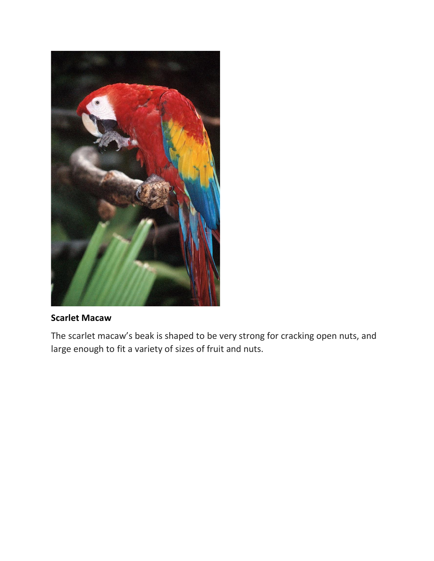

#### **Scarlet Macaw**

The scarlet macaw's beak is shaped to be very strong for cracking open nuts, and large enough to fit a variety of sizes of fruit and nuts.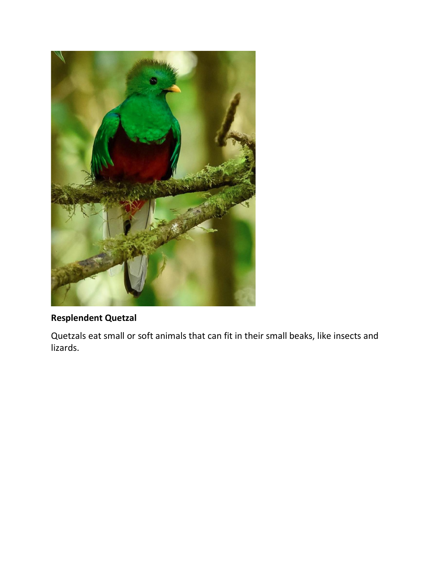

## **Resplendent Quetzal**

Quetzals eat small or soft animals that can fit in their small beaks, like insects and lizards.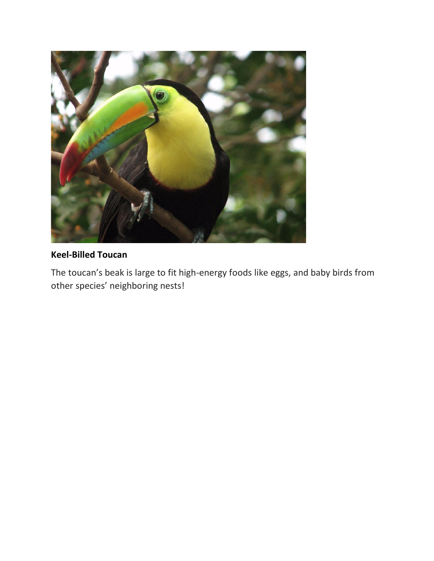

### **Keel-Billed Toucan**

The toucan's beak is large to fit high-energy foods like eggs, and baby birds from other species' neighboring nests!